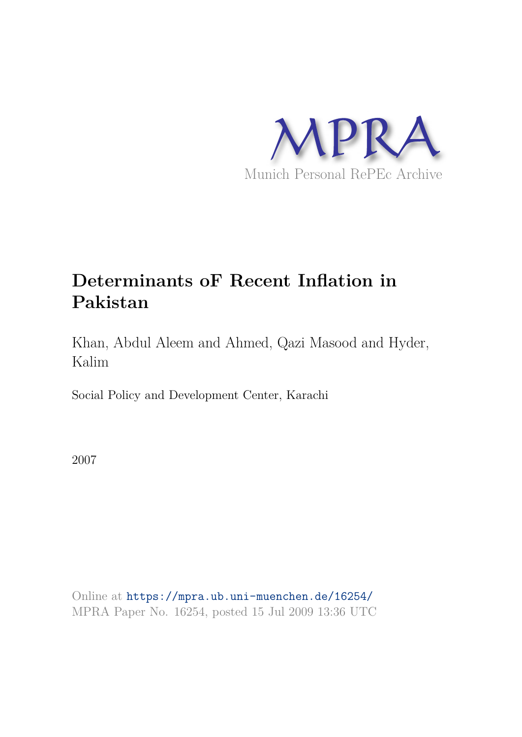

# **Determinants oF Recent Inflation in Pakistan**

Khan, Abdul Aleem and Ahmed, Qazi Masood and Hyder, Kalim

Social Policy and Development Center, Karachi

2007

Online at https://mpra.ub.uni-muenchen.de/16254/ MPRA Paper No. 16254, posted 15 Jul 2009 13:36 UTC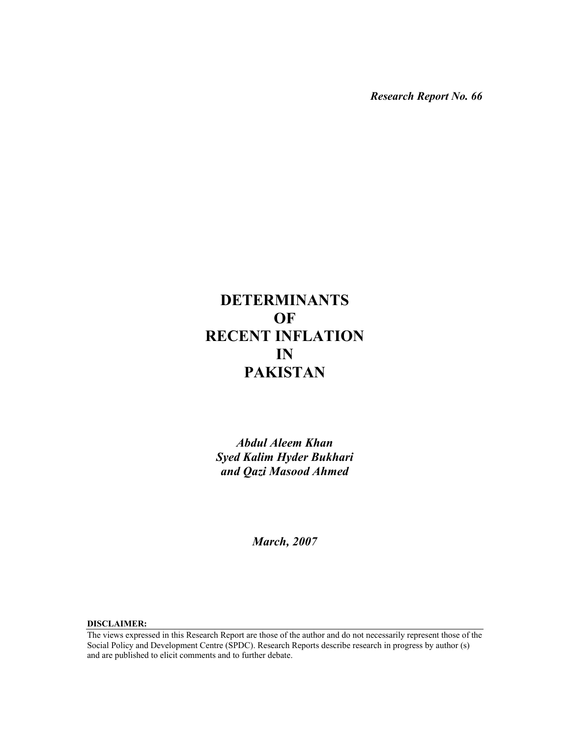*Research Report No. 66* 

# **DETERMINANTS OF RECENT INFLATION IN PAKISTAN**

*Abdul Aleem Khan Syed Kalim Hyder Bukhari and Qazi Masood Ahmed* 

*March, 2007* 

**DISCLAIMER:** 

The views expressed in this Research Report are those of the author and do not necessarily represent those of the Social Policy and Development Centre (SPDC). Research Reports describe research in progress by author (s) and are published to elicit comments and to further debate.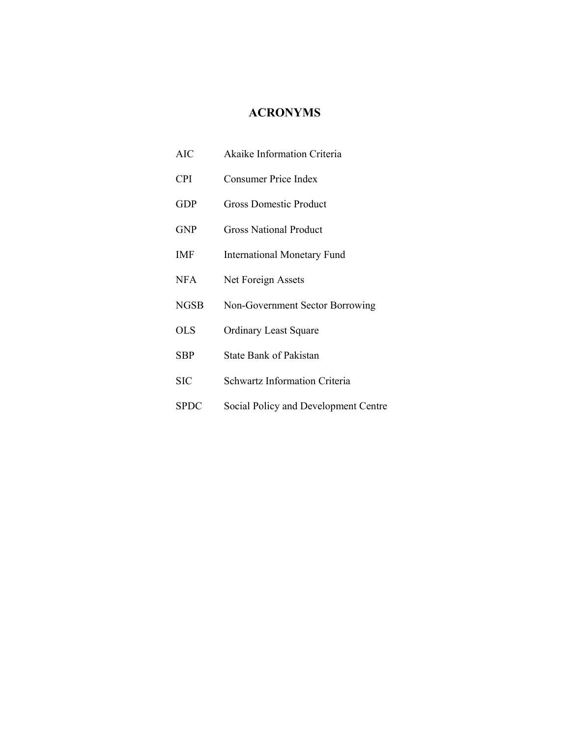# **ACRONYMS**

| <b>AIC</b>  | Akaike Information Criteria          |
|-------------|--------------------------------------|
| <b>CPI</b>  | Consumer Price Index                 |
| <b>GDP</b>  | <b>Gross Domestic Product</b>        |
| <b>GNP</b>  | <b>Gross National Product</b>        |
| IMF         | <b>International Monetary Fund</b>   |
| <b>NFA</b>  | Net Foreign Assets                   |
| <b>NGSB</b> | Non-Government Sector Borrowing      |
| <b>OLS</b>  | <b>Ordinary Least Square</b>         |
| <b>SBP</b>  | <b>State Bank of Pakistan</b>        |
| SIC         | Schwartz Information Criteria        |
| SPDC        | Social Policy and Development Centre |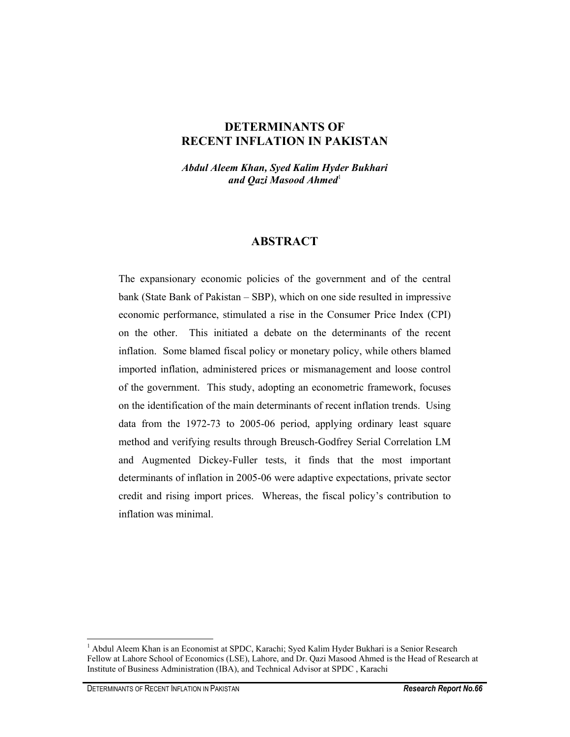# **DETERMINANTS OF RECENT INFLATION IN PAKISTAN**

*Abdul Aleem Khan, Syed Kalim Hyder Bukhari*  and *Qazi Masood Ahmed*<sup>1</sup>

## **ABSTRACT**

The expansionary economic policies of the government and of the central bank (State Bank of Pakistan – SBP), which on one side resulted in impressive economic performance, stimulated a rise in the Consumer Price Index (CPI) on the other. This initiated a debate on the determinants of the recent inflation. Some blamed fiscal policy or monetary policy, while others blamed imported inflation, administered prices or mismanagement and loose control of the government. This study, adopting an econometric framework, focuses on the identification of the main determinants of recent inflation trends. Using data from the 1972-73 to 2005-06 period, applying ordinary least square method and verifying results through Breusch-Godfrey Serial Correlation LM and Augmented Dickey-Fuller tests, it finds that the most important determinants of inflation in 2005-06 were adaptive expectations, private sector credit and rising import prices. Whereas, the fiscal policy's contribution to inflation was minimal.

<sup>&</sup>lt;sup>1</sup> Abdul Aleem Khan is an Economist at SPDC, Karachi; Syed Kalim Hyder Bukhari is a Senior Research Fellow at Lahore School of Economics (LSE), Lahore, and Dr. Qazi Masood Ahmed is the Head of Research at Institute of Business Administration (IBA), and Technical Advisor at SPDC , Karachi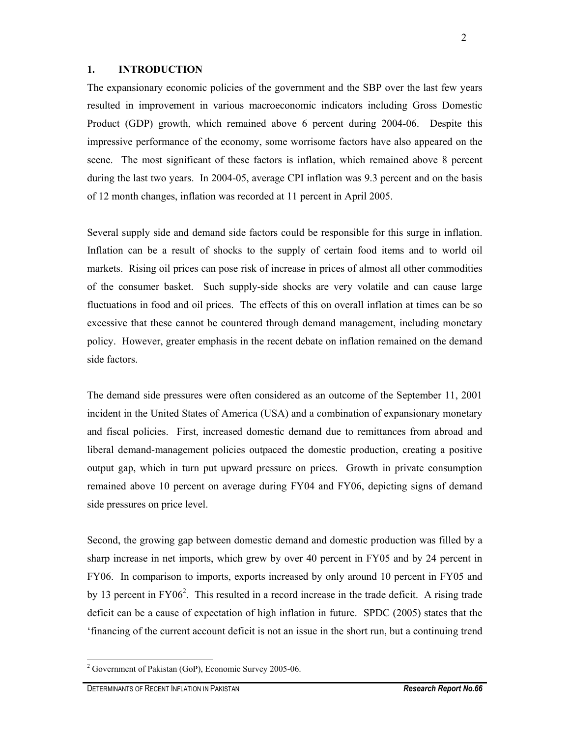#### **1. INTRODUCTION**

The expansionary economic policies of the government and the SBP over the last few years resulted in improvement in various macroeconomic indicators including Gross Domestic Product (GDP) growth, which remained above 6 percent during 2004-06. Despite this impressive performance of the economy, some worrisome factors have also appeared on the scene. The most significant of these factors is inflation, which remained above 8 percent during the last two years. In 2004-05, average CPI inflation was 9.3 percent and on the basis of 12 month changes, inflation was recorded at 11 percent in April 2005.

Several supply side and demand side factors could be responsible for this surge in inflation. Inflation can be a result of shocks to the supply of certain food items and to world oil markets. Rising oil prices can pose risk of increase in prices of almost all other commodities of the consumer basket. Such supply-side shocks are very volatile and can cause large fluctuations in food and oil prices. The effects of this on overall inflation at times can be so excessive that these cannot be countered through demand management, including monetary policy. However, greater emphasis in the recent debate on inflation remained on the demand side factors.

The demand side pressures were often considered as an outcome of the September 11, 2001 incident in the United States of America (USA) and a combination of expansionary monetary and fiscal policies. First, increased domestic demand due to remittances from abroad and liberal demand-management policies outpaced the domestic production, creating a positive output gap, which in turn put upward pressure on prices. Growth in private consumption remained above 10 percent on average during FY04 and FY06, depicting signs of demand side pressures on price level.

Second, the growing gap between domestic demand and domestic production was filled by a sharp increase in net imports, which grew by over 40 percent in FY05 and by 24 percent in FY06. In comparison to imports, exports increased by only around 10 percent in FY05 and by 13 percent in  $FY06<sup>2</sup>$ . This resulted in a record increase in the trade deficit. A rising trade deficit can be a cause of expectation of high inflation in future. SPDC (2005) states that the 'financing of the current account deficit is not an issue in the short run, but a continuing trend

<sup>&</sup>lt;sup>2</sup> Government of Pakistan (GoP), Economic Survey 2005-06.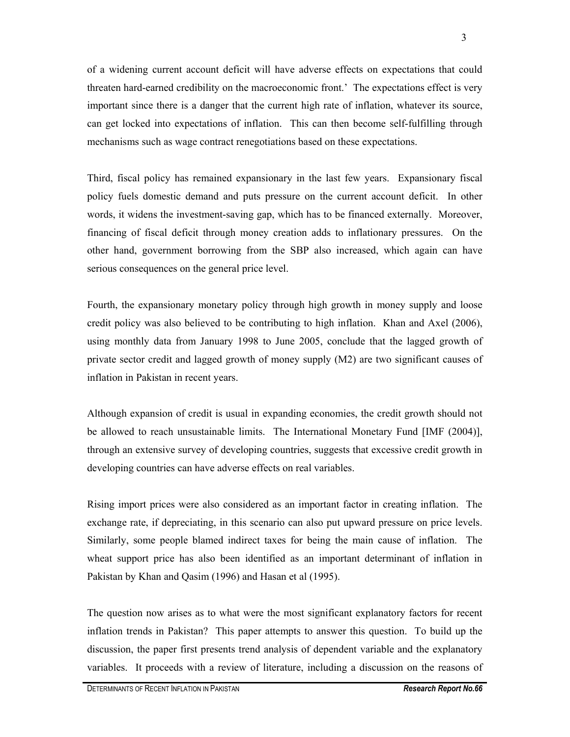of a widening current account deficit will have adverse effects on expectations that could threaten hard-earned credibility on the macroeconomic front.' The expectations effect is very important since there is a danger that the current high rate of inflation, whatever its source, can get locked into expectations of inflation. This can then become self-fulfilling through mechanisms such as wage contract renegotiations based on these expectations.

Third, fiscal policy has remained expansionary in the last few years. Expansionary fiscal policy fuels domestic demand and puts pressure on the current account deficit. In other words, it widens the investment-saving gap, which has to be financed externally. Moreover, financing of fiscal deficit through money creation adds to inflationary pressures. On the other hand, government borrowing from the SBP also increased, which again can have serious consequences on the general price level.

Fourth, the expansionary monetary policy through high growth in money supply and loose credit policy was also believed to be contributing to high inflation. Khan and Axel (2006), using monthly data from January 1998 to June 2005, conclude that the lagged growth of private sector credit and lagged growth of money supply (M2) are two significant causes of inflation in Pakistan in recent years.

Although expansion of credit is usual in expanding economies, the credit growth should not be allowed to reach unsustainable limits. The International Monetary Fund [IMF (2004)], through an extensive survey of developing countries, suggests that excessive credit growth in developing countries can have adverse effects on real variables.

Rising import prices were also considered as an important factor in creating inflation. The exchange rate, if depreciating, in this scenario can also put upward pressure on price levels. Similarly, some people blamed indirect taxes for being the main cause of inflation. The wheat support price has also been identified as an important determinant of inflation in Pakistan by Khan and Qasim (1996) and Hasan et al (1995).

The question now arises as to what were the most significant explanatory factors for recent inflation trends in Pakistan? This paper attempts to answer this question. To build up the discussion, the paper first presents trend analysis of dependent variable and the explanatory variables. It proceeds with a review of literature, including a discussion on the reasons of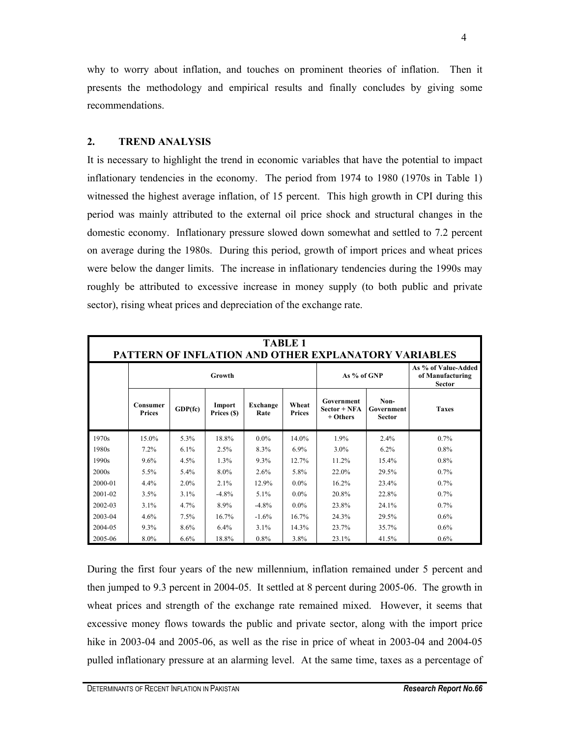why to worry about inflation, and touches on prominent theories of inflation. Then it presents the methodology and empirical results and finally concludes by giving some recommendations.

#### **2. TREND ANALYSIS**

It is necessary to highlight the trend in economic variables that have the potential to impact inflationary tendencies in the economy. The period from 1974 to 1980 (1970s in Table 1) witnessed the highest average inflation, of 15 percent. This high growth in CPI during this period was mainly attributed to the external oil price shock and structural changes in the domestic economy. Inflationary pressure slowed down somewhat and settled to 7.2 percent on average during the 1980s. During this period, growth of import prices and wheat prices were below the danger limits. The increase in inflationary tendencies during the 1990s may roughly be attributed to excessive increase in money supply (to both public and private sector), rising wheat prices and depreciation of the exchange rate.

| TABLE 1<br><b>PATTERN OF INFLATION AND OTHER EXPLANATORY VARIABLES</b> |                           |              |                       |                  |                        |                                          |                                     |                                                          |  |
|------------------------------------------------------------------------|---------------------------|--------------|-----------------------|------------------|------------------------|------------------------------------------|-------------------------------------|----------------------------------------------------------|--|
|                                                                        | Growth                    |              |                       |                  |                        | As % of GNP                              |                                     | As % of Value-Added<br>of Manufacturing<br><b>Sector</b> |  |
|                                                                        | Consumer<br><b>Prices</b> | $GDP$ $f$ c) | Import<br>Prices (\$) | Exchange<br>Rate | Wheat<br><b>Prices</b> | Government<br>$Sector + NFA$<br>+ Others | Non-<br>Government<br><b>Sector</b> | <b>Taxes</b>                                             |  |
| 1970s                                                                  | 15.0%                     | 5.3%         | 18.8%                 | $0.0\%$          | 14.0%                  | 1.9%                                     | 2.4%                                | $0.7\%$                                                  |  |
| 1980s                                                                  | 7.2%                      | 6.1%         | 2.5%                  | 8.3%             | $6.9\%$                | $3.0\%$                                  | 6.2%                                | $0.8\%$                                                  |  |
| 1990s                                                                  | 9.6%                      | 4.5%         | 1.3%                  | 9.3%             | 12.7%                  | 11.2%                                    | 15.4%                               | $0.8\%$                                                  |  |
| 2000s                                                                  | 5.5%                      | $5.4\%$      | 8.0%                  | 2.6%             | 5.8%                   | 22.0%                                    | 29.5%                               | 0.7%                                                     |  |
| 2000-01                                                                | $4.4\%$                   | 2.0%         | 2.1%                  | 12.9%            | $0.0\%$                | 16.2%                                    | 23.4%                               | 0.7%                                                     |  |
| 2001-02                                                                | 3.5%                      | 3.1%         | $-4.8%$               | 5.1%             | $0.0\%$                | 20.8%                                    | 22.8%                               | 0.7%                                                     |  |
| 2002-03                                                                | $3.1\%$                   | 4.7%         | 8.9%                  | $-4.8%$          | $0.0\%$                | 23.8%                                    | 24.1%                               | $0.7\%$                                                  |  |
| 2003-04                                                                | 4.6%                      | 7.5%         | 16.7%                 | $-1.6%$          | 16.7%                  | 24.3%                                    | 29.5%                               | 0.6%                                                     |  |
| 2004-05                                                                | 9.3%                      | 8.6%         | 6.4%                  | 3.1%             | 14.3%                  | 23.7%                                    | 35.7%                               | $0.6\%$                                                  |  |
| 2005-06                                                                | 8.0%                      | 6.6%         | 18.8%                 | $0.8\%$          | 3.8%                   | 23.1%                                    | 41.5%                               | $0.6\%$                                                  |  |

During the first four years of the new millennium, inflation remained under 5 percent and then jumped to 9.3 percent in 2004-05. It settled at 8 percent during 2005-06. The growth in wheat prices and strength of the exchange rate remained mixed. However, it seems that excessive money flows towards the public and private sector, along with the import price hike in 2003-04 and 2005-06, as well as the rise in price of wheat in 2003-04 and 2004-05 pulled inflationary pressure at an alarming level. At the same time, taxes as a percentage of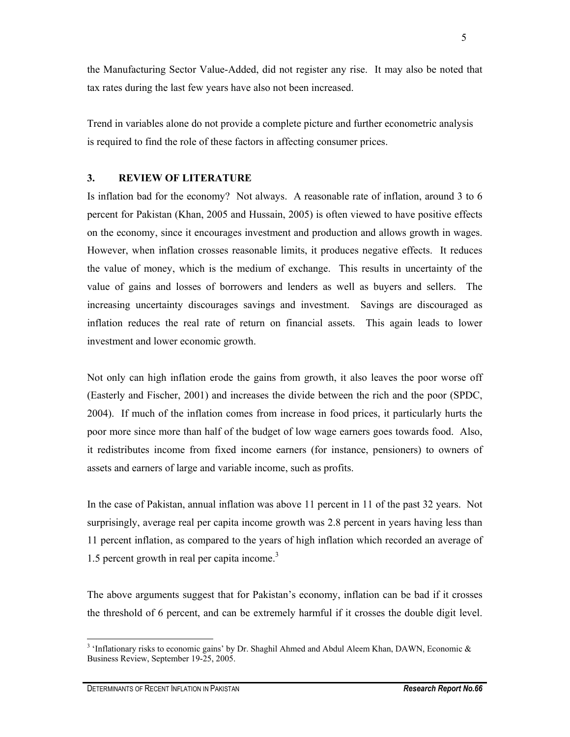the Manufacturing Sector Value-Added, did not register any rise. It may also be noted that tax rates during the last few years have also not been increased.

Trend in variables alone do not provide a complete picture and further econometric analysis is required to find the role of these factors in affecting consumer prices.

#### **3. REVIEW OF LITERATURE**

Is inflation bad for the economy? Not always. A reasonable rate of inflation, around 3 to 6 percent for Pakistan (Khan, 2005 and Hussain, 2005) is often viewed to have positive effects on the economy, since it encourages investment and production and allows growth in wages. However, when inflation crosses reasonable limits, it produces negative effects. It reduces the value of money, which is the medium of exchange. This results in uncertainty of the value of gains and losses of borrowers and lenders as well as buyers and sellers. The increasing uncertainty discourages savings and investment. Savings are discouraged as inflation reduces the real rate of return on financial assets. This again leads to lower investment and lower economic growth.

Not only can high inflation erode the gains from growth, it also leaves the poor worse off (Easterly and Fischer, 2001) and increases the divide between the rich and the poor (SPDC, 2004). If much of the inflation comes from increase in food prices, it particularly hurts the poor more since more than half of the budget of low wage earners goes towards food. Also, it redistributes income from fixed income earners (for instance, pensioners) to owners of assets and earners of large and variable income, such as profits.

In the case of Pakistan, annual inflation was above 11 percent in 11 of the past 32 years. Not surprisingly, average real per capita income growth was 2.8 percent in years having less than 11 percent inflation, as compared to the years of high inflation which recorded an average of 1.5 percent growth in real per capita income.<sup>3</sup>

The above arguments suggest that for Pakistan's economy, inflation can be bad if it crosses the threshold of 6 percent, and can be extremely harmful if it crosses the double digit level.

<sup>&</sup>lt;sup>3</sup> 'Inflationary risks to economic gains' by Dr. Shaghil Ahmed and Abdul Aleem Khan, DAWN, Economic  $\&$ Business Review, September 19-25, 2005.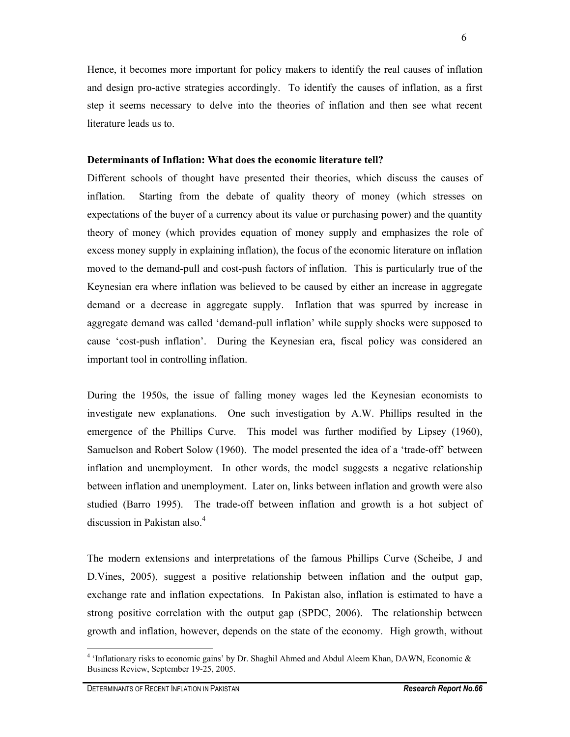Hence, it becomes more important for policy makers to identify the real causes of inflation and design pro-active strategies accordingly. To identify the causes of inflation, as a first step it seems necessary to delve into the theories of inflation and then see what recent literature leads us to.

#### **Determinants of Inflation: What does the economic literature tell?**

Different schools of thought have presented their theories, which discuss the causes of inflation. Starting from the debate of quality theory of money (which stresses on expectations of the buyer of a currency about its value or purchasing power) and the quantity theory of money (which provides equation of money supply and emphasizes the role of excess money supply in explaining inflation), the focus of the economic literature on inflation moved to the demand-pull and cost-push factors of inflation. This is particularly true of the Keynesian era where inflation was believed to be caused by either an increase in aggregate demand or a decrease in aggregate supply. Inflation that was spurred by increase in aggregate demand was called 'demand-pull inflation' while supply shocks were supposed to cause 'cost-push inflation'. During the Keynesian era, fiscal policy was considered an important tool in controlling inflation.

During the 1950s, the issue of falling money wages led the Keynesian economists to investigate new explanations. One such investigation by A.W. Phillips resulted in the emergence of the Phillips Curve. This model was further modified by Lipsey (1960), Samuelson and Robert Solow (1960). The model presented the idea of a 'trade-off' between inflation and unemployment. In other words, the model suggests a negative relationship between inflation and unemployment. Later on, links between inflation and growth were also studied (Barro 1995). The trade-off between inflation and growth is a hot subject of discussion in Pakistan also. $4$ 

The modern extensions and interpretations of the famous Phillips Curve (Scheibe, J and D.Vines, 2005), suggest a positive relationship between inflation and the output gap, exchange rate and inflation expectations. In Pakistan also, inflation is estimated to have a strong positive correlation with the output gap (SPDC, 2006). The relationship between growth and inflation, however, depends on the state of the economy. High growth, without

<sup>&</sup>lt;sup>4</sup> 'Inflationary risks to economic gains' by Dr. Shaghil Ahmed and Abdul Aleem Khan, DAWN, Economic & Business Review, September 19-25, 2005.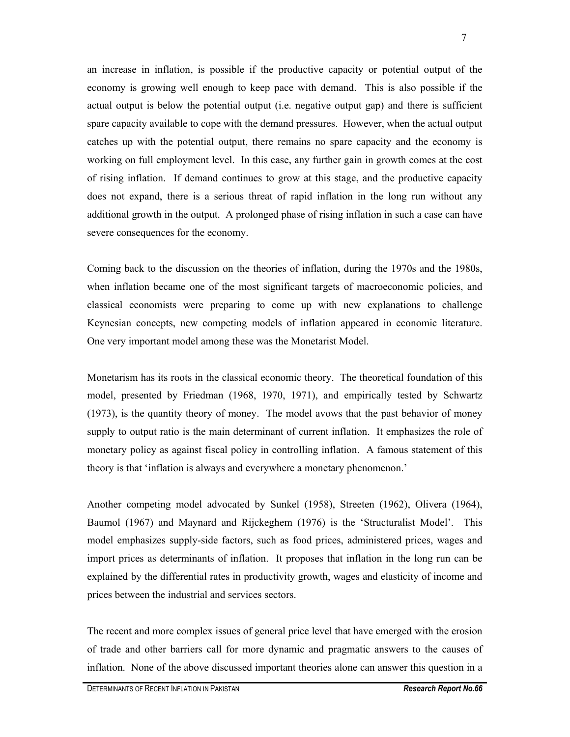an increase in inflation, is possible if the productive capacity or potential output of the economy is growing well enough to keep pace with demand. This is also possible if the actual output is below the potential output (i.e. negative output gap) and there is sufficient spare capacity available to cope with the demand pressures. However, when the actual output catches up with the potential output, there remains no spare capacity and the economy is working on full employment level. In this case, any further gain in growth comes at the cost of rising inflation. If demand continues to grow at this stage, and the productive capacity does not expand, there is a serious threat of rapid inflation in the long run without any additional growth in the output. A prolonged phase of rising inflation in such a case can have severe consequences for the economy.

Coming back to the discussion on the theories of inflation, during the 1970s and the 1980s, when inflation became one of the most significant targets of macroeconomic policies, and classical economists were preparing to come up with new explanations to challenge Keynesian concepts, new competing models of inflation appeared in economic literature. One very important model among these was the Monetarist Model.

Monetarism has its roots in the classical economic theory. The theoretical foundation of this model, presented by Friedman (1968, 1970, 1971), and empirically tested by Schwartz (1973), is the quantity theory of money. The model avows that the past behavior of money supply to output ratio is the main determinant of current inflation. It emphasizes the role of monetary policy as against fiscal policy in controlling inflation. A famous statement of this theory is that 'inflation is always and everywhere a monetary phenomenon.'

Another competing model advocated by Sunkel (1958), Streeten (1962), Olivera (1964), Baumol (1967) and Maynard and Rijckeghem (1976) is the 'Structuralist Model'. This model emphasizes supply-side factors, such as food prices, administered prices, wages and import prices as determinants of inflation. It proposes that inflation in the long run can be explained by the differential rates in productivity growth, wages and elasticity of income and prices between the industrial and services sectors.

The recent and more complex issues of general price level that have emerged with the erosion of trade and other barriers call for more dynamic and pragmatic answers to the causes of inflation. None of the above discussed important theories alone can answer this question in a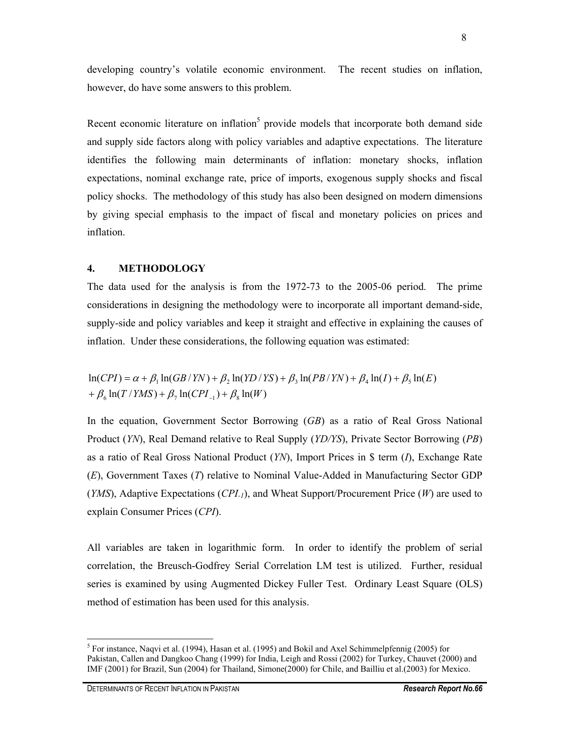developing country's volatile economic environment. The recent studies on inflation, however, do have some answers to this problem.

Recent economic literature on inflation<sup>5</sup> provide models that incorporate both demand side and supply side factors along with policy variables and adaptive expectations. The literature identifies the following main determinants of inflation: monetary shocks, inflation expectations, nominal exchange rate, price of imports, exogenous supply shocks and fiscal policy shocks. The methodology of this study has also been designed on modern dimensions by giving special emphasis to the impact of fiscal and monetary policies on prices and inflation.

#### **4. METHODOLOGY**

The data used for the analysis is from the 1972-73 to the 2005-06 period. The prime considerations in designing the methodology were to incorporate all important demand-side, supply-side and policy variables and keep it straight and effective in explaining the causes of inflation. Under these considerations, the following equation was estimated:

 $+\beta_6 \ln(T/YMS) + \beta_7 \ln(CPI_{-1}) + \beta_8 \ln(W)$  $\ln(CPI) = \alpha + \beta_1 \ln(GB/YN) + \beta_2 \ln( YD/YS) + \beta_3 \ln(PB/YN) + \beta_4 \ln(I) + \beta_5 \ln(E)$ 

In the equation, Government Sector Borrowing (*GB*) as a ratio of Real Gross National Product (*YN*), Real Demand relative to Real Supply (*YD/YS*), Private Sector Borrowing (*PB*) as a ratio of Real Gross National Product (*YN*), Import Prices in \$ term (*I*), Exchange Rate (*E*), Government Taxes (*T*) relative to Nominal Value-Added in Manufacturing Sector GDP (*YMS*), Adaptive Expectations (*CPI-1*), and Wheat Support/Procurement Price (*W*) are used to explain Consumer Prices (*CPI*).

All variables are taken in logarithmic form. In order to identify the problem of serial correlation, the Breusch-Godfrey Serial Correlation LM test is utilized. Further, residual series is examined by using Augmented Dickey Fuller Test. Ordinary Least Square (OLS) method of estimation has been used for this analysis.

 $\overline{a}$ <sup>5</sup> For instance, Naqvi et al. (1994), Hasan et al. (1995) and Bokil and Axel Schimmelpfennig (2005) for Pakistan, Callen and Dangkoo Chang (1999) for India, Leigh and Rossi (2002) for Turkey, Chauvet (2000) and IMF (2001) for Brazil, Sun (2004) for Thailand, Simone(2000) for Chile, and Bailliu et al.(2003) for Mexico.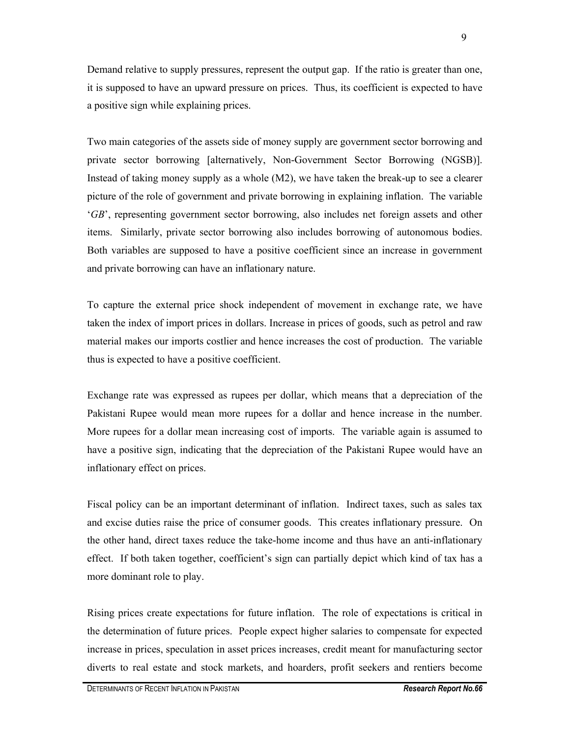Demand relative to supply pressures, represent the output gap. If the ratio is greater than one, it is supposed to have an upward pressure on prices. Thus, its coefficient is expected to have a positive sign while explaining prices.

Two main categories of the assets side of money supply are government sector borrowing and private sector borrowing [alternatively, Non-Government Sector Borrowing (NGSB)]. Instead of taking money supply as a whole (M2), we have taken the break-up to see a clearer picture of the role of government and private borrowing in explaining inflation. The variable '*GB*', representing government sector borrowing, also includes net foreign assets and other items. Similarly, private sector borrowing also includes borrowing of autonomous bodies. Both variables are supposed to have a positive coefficient since an increase in government and private borrowing can have an inflationary nature.

To capture the external price shock independent of movement in exchange rate, we have taken the index of import prices in dollars. Increase in prices of goods, such as petrol and raw material makes our imports costlier and hence increases the cost of production. The variable thus is expected to have a positive coefficient.

Exchange rate was expressed as rupees per dollar, which means that a depreciation of the Pakistani Rupee would mean more rupees for a dollar and hence increase in the number. More rupees for a dollar mean increasing cost of imports. The variable again is assumed to have a positive sign, indicating that the depreciation of the Pakistani Rupee would have an inflationary effect on prices.

Fiscal policy can be an important determinant of inflation. Indirect taxes, such as sales tax and excise duties raise the price of consumer goods. This creates inflationary pressure. On the other hand, direct taxes reduce the take-home income and thus have an anti-inflationary effect. If both taken together, coefficient's sign can partially depict which kind of tax has a more dominant role to play.

Rising prices create expectations for future inflation. The role of expectations is critical in the determination of future prices. People expect higher salaries to compensate for expected increase in prices, speculation in asset prices increases, credit meant for manufacturing sector diverts to real estate and stock markets, and hoarders, profit seekers and rentiers become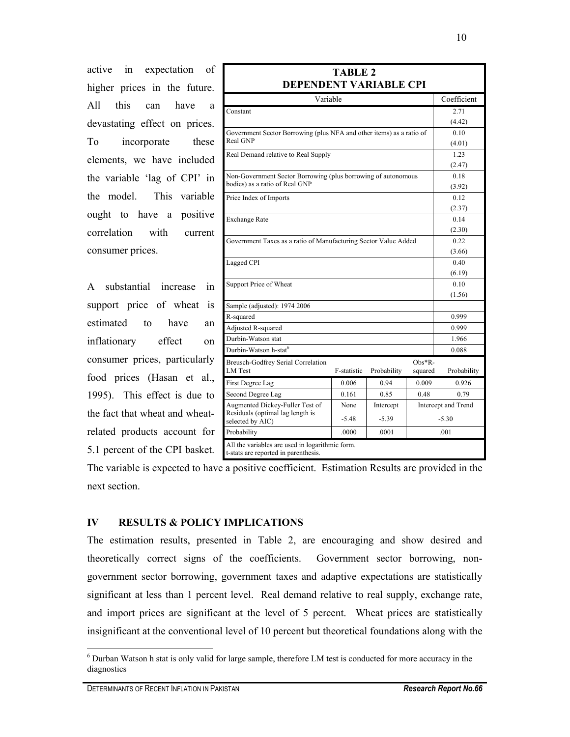active in expectation of higher prices in the future. All this can have a devastating effect on prices. To incorporate these elements, we have included the variable 'lag of CPI' in the model. This variable ought to have a positive correlation with current consumer prices.

A substantial increase in support price of wheat is estimated to have an inflationary effect on consumer prices, particularly food prices (Hasan et al., 1995). This effect is due to the fact that wheat and wheatrelated products account for 5.1 percent of the CPI basket.

| <b>TABLE 2</b><br>DEPENDENT VARIABLE CPI                                                |             |             |                   |                     |  |  |  |  |
|-----------------------------------------------------------------------------------------|-------------|-------------|-------------------|---------------------|--|--|--|--|
| Variable                                                                                |             | Coefficient |                   |                     |  |  |  |  |
| Constant                                                                                |             | 2.71        |                   |                     |  |  |  |  |
|                                                                                         |             | (4.42)      |                   |                     |  |  |  |  |
| Government Sector Borrowing (plus NFA and other items) as a ratio of                    |             |             |                   | 0.10                |  |  |  |  |
| <b>Real GNP</b>                                                                         |             | (4.01)      |                   |                     |  |  |  |  |
| Real Demand relative to Real Supply                                                     |             | 1.23        |                   |                     |  |  |  |  |
|                                                                                         |             |             |                   | (2.47)              |  |  |  |  |
| Non-Government Sector Borrowing (plus borrowing of autonomous                           |             | 0.18        |                   |                     |  |  |  |  |
| bodies) as a ratio of Real GNP                                                          |             |             |                   | (3.92)              |  |  |  |  |
| Price Index of Imports                                                                  |             |             |                   | 0.12                |  |  |  |  |
|                                                                                         |             | (2.37)      |                   |                     |  |  |  |  |
| <b>Exchange Rate</b>                                                                    |             | 0.14        |                   |                     |  |  |  |  |
|                                                                                         |             | (2.30)      |                   |                     |  |  |  |  |
| Government Taxes as a ratio of Manufacturing Sector Value Added                         |             | 0.22        |                   |                     |  |  |  |  |
|                                                                                         |             |             |                   | (3.66)              |  |  |  |  |
| Lagged CPI                                                                              |             |             |                   | 0.40                |  |  |  |  |
|                                                                                         |             |             |                   |                     |  |  |  |  |
| Support Price of Wheat                                                                  |             |             |                   | 0.10                |  |  |  |  |
|                                                                                         |             |             |                   | (1.56)              |  |  |  |  |
| Sample (adjusted): 1974 2006                                                            |             |             |                   |                     |  |  |  |  |
| R-squared                                                                               |             |             |                   | 0.999               |  |  |  |  |
| Adjusted R-squared                                                                      |             | 0.999       |                   |                     |  |  |  |  |
| Durbin-Watson stat                                                                      |             | 1.966       |                   |                     |  |  |  |  |
| Durbin-Watson h-stat <sup>6</sup>                                                       |             | 0.088       |                   |                     |  |  |  |  |
| <b>Breusch-Godfrey Serial Correlation</b><br><b>LM</b> Test                             | F-statistic | Probability | Obs*R-<br>squared | Probability         |  |  |  |  |
| First Degree Lag                                                                        | 0.006       | 0.94        | 0.009             | 0.926               |  |  |  |  |
| Second Degree Lag                                                                       | 0.161       | 0.85        | 0.48              | 0.79                |  |  |  |  |
| Augmented Dickey-Fuller Test of                                                         | None        | Intercept   |                   | Intercept and Trend |  |  |  |  |
| Residuals (optimal lag length is<br>selected by AIC)                                    | $-5.48$     | $-5.39$     |                   | $-5.30$             |  |  |  |  |
| Probability                                                                             | .0000       | .0001       |                   | .001                |  |  |  |  |
| All the variables are used in logarithmic form.<br>t-stats are reported in parenthesis. |             |             |                   |                     |  |  |  |  |

The variable is expected to have a positive coefficient. Estimation Results are provided in the next section.

# **IV RESULTS & POLICY IMPLICATIONS**

The estimation results, presented in Table 2, are encouraging and show desired and theoretically correct signs of the coefficients. Government sector borrowing, nongovernment sector borrowing, government taxes and adaptive expectations are statistically significant at less than 1 percent level. Real demand relative to real supply, exchange rate, and import prices are significant at the level of 5 percent. Wheat prices are statistically insignificant at the conventional level of 10 percent but theoretical foundations along with the

<sup>&</sup>lt;sup>6</sup> Durban Watson h stat is only valid for large sample, therefore LM test is conducted for more accuracy in the diagnostics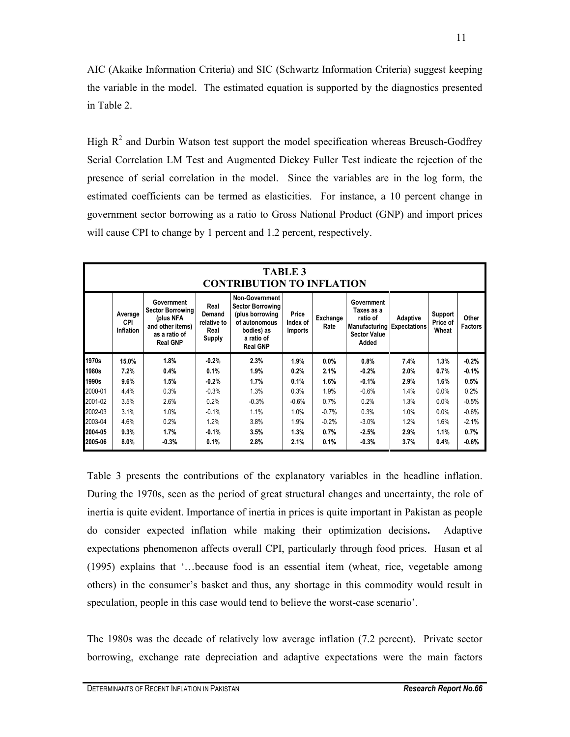AIC (Akaike Information Criteria) and SIC (Schwartz Information Criteria) suggest keeping the variable in the model. The estimated equation is supported by the diagnostics presented in Table 2.

High  $R<sup>2</sup>$  and Durbin Watson test support the model specification whereas Breusch-Godfrey Serial Correlation LM Test and Augmented Dickey Fuller Test indicate the rejection of the presence of serial correlation in the model. Since the variables are in the log form, the estimated coefficients can be termed as elasticities. For instance, a 10 percent change in government sector borrowing as a ratio to Gross National Product (GNP) and import prices will cause CPI to change by 1 percent and 1.2 percent, respectively.

| <b>TABLE 3</b><br><b>CONTRIBUTION TO INFLATION</b> |                                    |                                                                                                            |                                                        |                                                                                                                                     |                                     |                    |                                                                                                           |          |                              |                         |
|----------------------------------------------------|------------------------------------|------------------------------------------------------------------------------------------------------------|--------------------------------------------------------|-------------------------------------------------------------------------------------------------------------------------------------|-------------------------------------|--------------------|-----------------------------------------------------------------------------------------------------------|----------|------------------------------|-------------------------|
|                                                    | Average<br><b>CPI</b><br>Inflation | Government<br><b>Sector Borrowing</b><br>(plus NFA<br>and other items)<br>as a ratio of<br><b>Real GNP</b> | Real<br>Demand<br>relative to<br>Real<br><b>Supply</b> | <b>Non-Government</b><br><b>Sector Borrowing</b><br>(plus borrowing<br>of autonomous<br>bodies) as<br>a ratio of<br><b>Real GNP</b> | Price<br>Index of<br><b>Imports</b> | Exchange  <br>Rate | Government<br>Taxes as a<br>ratio of<br><b>Manufacturing Expectations</b><br><b>Sector Value</b><br>Added | Adaptive | Support<br>Price of<br>Wheat | Other<br><b>Factors</b> |
| 1970s                                              | 15.0%                              | 1.8%                                                                                                       | $-0.2%$                                                | 2.3%                                                                                                                                | 1.9%                                | $0.0\%$            | 0.8%                                                                                                      | 7.4%     | 1.3%                         | $-0.2%$                 |
| 1980s                                              | 7.2%                               | 0.4%                                                                                                       | 0.1%                                                   | 1.9%                                                                                                                                | 0.2%                                | 2.1%               | $-0.2%$                                                                                                   | 2.0%     | 0.7%                         | $-0.1%$                 |
| 1990s                                              | 9.6%                               | 1.5%                                                                                                       | $-0.2%$                                                | 1.7%                                                                                                                                | 0.1%                                | 1.6%               | $-0.1%$                                                                                                   | 2.9%     | 1.6%                         | 0.5%                    |
| 2000-01                                            | 4.4%                               | 0.3%                                                                                                       | $-0.3%$                                                | 1.3%                                                                                                                                | 0.3%                                | 1.9%               | $-0.6%$                                                                                                   | 1.4%     | 0.0%                         | 0.2%                    |
| 2001-02                                            | 3.5%                               | 2.6%                                                                                                       | 0.2%                                                   | $-0.3%$                                                                                                                             | $-0.6%$                             | 0.7%               | 0.2%                                                                                                      | 1.3%     | 0.0%                         | $-0.5%$                 |
| 2002-03                                            | 3.1%                               | 1.0%                                                                                                       | $-0.1%$                                                | 1.1%                                                                                                                                | 1.0%                                | $-0.7%$            | 0.3%                                                                                                      | 1.0%     | 0.0%                         | $-0.6%$                 |
| 2003-04                                            | 4.6%                               | 0.2%                                                                                                       | 1.2%                                                   | 3.8%                                                                                                                                | 1.9%                                | $-0.2%$            | $-3.0%$                                                                                                   | 1.2%     | 1.6%                         | $-2.1%$                 |
| 2004-05                                            | 9.3%                               | 1.7%                                                                                                       | $-0.1%$                                                | 3.5%                                                                                                                                | 1.3%                                | 0.7%               | $-2.5%$                                                                                                   | 2.9%     | 1.1%                         | 0.7%                    |
| 2005-06                                            | 8.0%                               | $-0.3%$                                                                                                    | 0.1%                                                   | 2.8%                                                                                                                                | 2.1%                                | 0.1%               | $-0.3%$                                                                                                   | 3.7%     | 0.4%                         | $-0.6%$                 |

Table 3 presents the contributions of the explanatory variables in the headline inflation. During the 1970s, seen as the period of great structural changes and uncertainty, the role of inertia is quite evident. Importance of inertia in prices is quite important in Pakistan as people do consider expected inflation while making their optimization decisions**.** Adaptive expectations phenomenon affects overall CPI, particularly through food prices. Hasan et al (1995) explains that '…because food is an essential item (wheat, rice, vegetable among others) in the consumer's basket and thus, any shortage in this commodity would result in speculation, people in this case would tend to believe the worst-case scenario'.

The 1980s was the decade of relatively low average inflation (7.2 percent). Private sector borrowing, exchange rate depreciation and adaptive expectations were the main factors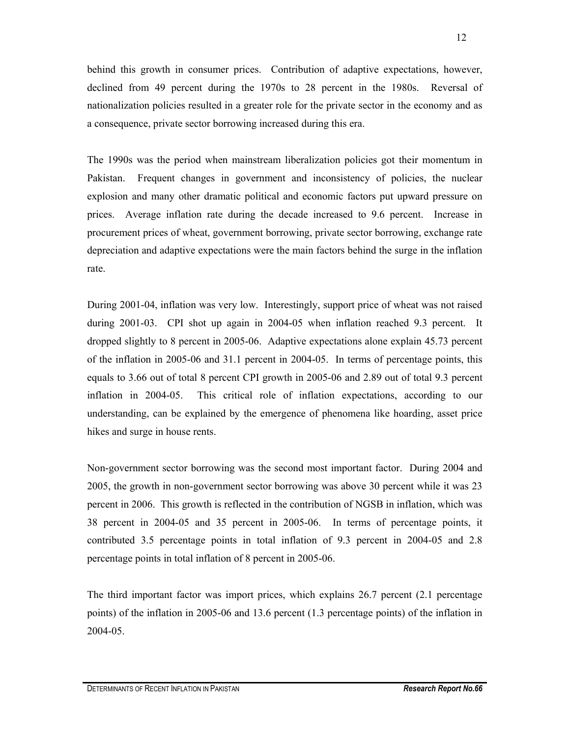behind this growth in consumer prices. Contribution of adaptive expectations, however, declined from 49 percent during the 1970s to 28 percent in the 1980s. Reversal of nationalization policies resulted in a greater role for the private sector in the economy and as a consequence, private sector borrowing increased during this era.

The 1990s was the period when mainstream liberalization policies got their momentum in Pakistan. Frequent changes in government and inconsistency of policies, the nuclear explosion and many other dramatic political and economic factors put upward pressure on prices. Average inflation rate during the decade increased to 9.6 percent. Increase in procurement prices of wheat, government borrowing, private sector borrowing, exchange rate depreciation and adaptive expectations were the main factors behind the surge in the inflation rate.

During 2001-04, inflation was very low. Interestingly, support price of wheat was not raised during 2001-03. CPI shot up again in 2004-05 when inflation reached 9.3 percent. It dropped slightly to 8 percent in 2005-06. Adaptive expectations alone explain 45.73 percent of the inflation in 2005-06 and 31.1 percent in 2004-05. In terms of percentage points, this equals to 3.66 out of total 8 percent CPI growth in 2005-06 and 2.89 out of total 9.3 percent inflation in 2004-05. This critical role of inflation expectations, according to our understanding, can be explained by the emergence of phenomena like hoarding, asset price hikes and surge in house rents.

Non-government sector borrowing was the second most important factor. During 2004 and 2005, the growth in non-government sector borrowing was above 30 percent while it was 23 percent in 2006. This growth is reflected in the contribution of NGSB in inflation, which was 38 percent in 2004-05 and 35 percent in 2005-06. In terms of percentage points, it contributed 3.5 percentage points in total inflation of 9.3 percent in 2004-05 and 2.8 percentage points in total inflation of 8 percent in 2005-06.

The third important factor was import prices, which explains 26.7 percent (2.1 percentage points) of the inflation in 2005-06 and 13.6 percent (1.3 percentage points) of the inflation in 2004-05.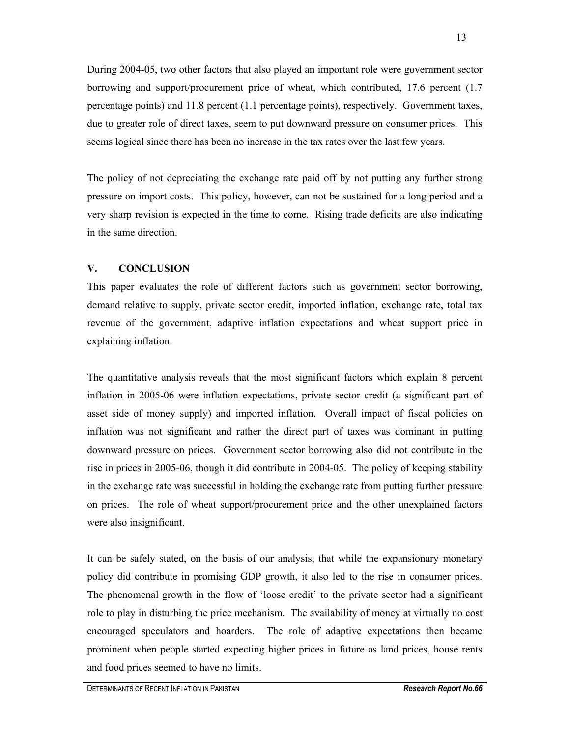During 2004-05, two other factors that also played an important role were government sector borrowing and support/procurement price of wheat, which contributed, 17.6 percent (1.7 percentage points) and 11.8 percent (1.1 percentage points), respectively. Government taxes, due to greater role of direct taxes, seem to put downward pressure on consumer prices. This seems logical since there has been no increase in the tax rates over the last few years.

The policy of not depreciating the exchange rate paid off by not putting any further strong pressure on import costs. This policy, however, can not be sustained for a long period and a very sharp revision is expected in the time to come. Rising trade deficits are also indicating in the same direction.

## **V. CONCLUSION**

This paper evaluates the role of different factors such as government sector borrowing, demand relative to supply, private sector credit, imported inflation, exchange rate, total tax revenue of the government, adaptive inflation expectations and wheat support price in explaining inflation.

The quantitative analysis reveals that the most significant factors which explain 8 percent inflation in 2005-06 were inflation expectations, private sector credit (a significant part of asset side of money supply) and imported inflation. Overall impact of fiscal policies on inflation was not significant and rather the direct part of taxes was dominant in putting downward pressure on prices. Government sector borrowing also did not contribute in the rise in prices in 2005-06, though it did contribute in 2004-05. The policy of keeping stability in the exchange rate was successful in holding the exchange rate from putting further pressure on prices. The role of wheat support/procurement price and the other unexplained factors were also insignificant.

It can be safely stated, on the basis of our analysis, that while the expansionary monetary policy did contribute in promising GDP growth, it also led to the rise in consumer prices. The phenomenal growth in the flow of 'loose credit' to the private sector had a significant role to play in disturbing the price mechanism. The availability of money at virtually no cost encouraged speculators and hoarders. The role of adaptive expectations then became prominent when people started expecting higher prices in future as land prices, house rents and food prices seemed to have no limits.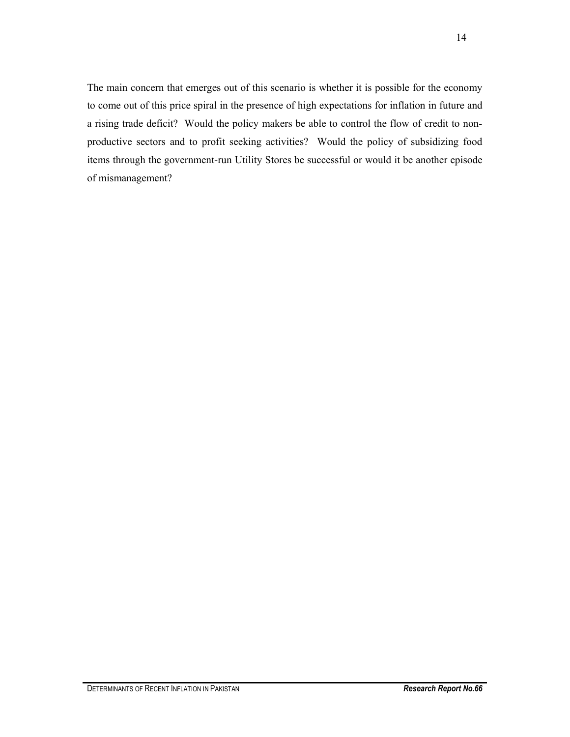The main concern that emerges out of this scenario is whether it is possible for the economy to come out of this price spiral in the presence of high expectations for inflation in future and a rising trade deficit? Would the policy makers be able to control the flow of credit to nonproductive sectors and to profit seeking activities? Would the policy of subsidizing food items through the government-run Utility Stores be successful or would it be another episode of mismanagement?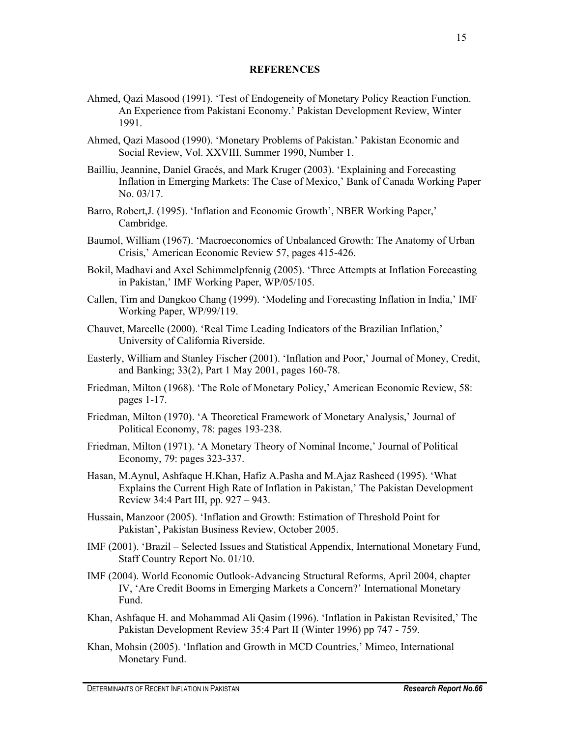#### **REFERENCES**

- Ahmed, Qazi Masood (1991). 'Test of Endogeneity of Monetary Policy Reaction Function. An Experience from Pakistani Economy.' Pakistan Development Review, Winter 1991.
- Ahmed, Qazi Masood (1990). 'Monetary Problems of Pakistan.' Pakistan Economic and Social Review, Vol. XXVIII, Summer 1990, Number 1.
- Bailliu, Jeannine, Daniel Gracés, and Mark Kruger (2003). 'Explaining and Forecasting Inflation in Emerging Markets: The Case of Mexico,' Bank of Canada Working Paper No. 03/17.
- Barro, Robert,J. (1995). 'Inflation and Economic Growth', NBER Working Paper,' Cambridge.
- Baumol, William (1967). 'Macroeconomics of Unbalanced Growth: The Anatomy of Urban Crisis,' American Economic Review 57, pages 415-426.
- Bokil, Madhavi and Axel Schimmelpfennig (2005). 'Three Attempts at Inflation Forecasting in Pakistan,' IMF Working Paper, WP/05/105.
- Callen, Tim and Dangkoo Chang (1999). 'Modeling and Forecasting Inflation in India,' IMF Working Paper, WP/99/119.
- Chauvet, Marcelle (2000). 'Real Time Leading Indicators of the Brazilian Inflation,' University of California Riverside.
- Easterly, William and Stanley Fischer (2001). 'Inflation and Poor,' Journal of Money, Credit, and Banking; 33(2), Part 1 May 2001, pages 160-78.
- Friedman, Milton (1968). 'The Role of Monetary Policy,' American Economic Review, 58: pages 1-17.
- Friedman, Milton (1970). 'A Theoretical Framework of Monetary Analysis,' Journal of Political Economy, 78: pages 193-238.
- Friedman, Milton (1971). 'A Monetary Theory of Nominal Income,' Journal of Political Economy, 79: pages 323-337.
- Hasan, M.Aynul, Ashfaque H.Khan, Hafiz A.Pasha and M.Ajaz Rasheed (1995). 'What Explains the Current High Rate of Inflation in Pakistan,' The Pakistan Development Review 34:4 Part III, pp. 927 – 943.
- Hussain, Manzoor (2005). 'Inflation and Growth: Estimation of Threshold Point for Pakistan', Pakistan Business Review, October 2005.
- IMF (2001). 'Brazil Selected Issues and Statistical Appendix, International Monetary Fund, Staff Country Report No. 01/10.
- IMF (2004). World Economic Outlook-Advancing Structural Reforms, April 2004, chapter IV, 'Are Credit Booms in Emerging Markets a Concern?' International Monetary Fund.
- Khan, Ashfaque H. and Mohammad Ali Qasim (1996). 'Inflation in Pakistan Revisited,' The Pakistan Development Review 35:4 Part II (Winter 1996) pp 747 - 759.
- Khan, Mohsin (2005). 'Inflation and Growth in MCD Countries,' Mimeo, International Monetary Fund.